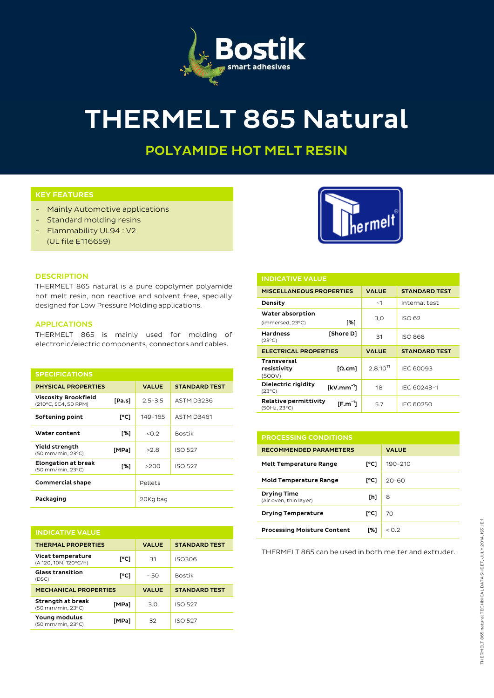

# **THERMELT 865 Natural**

# **POLYAMIDE HOT MELT RESIN**

### **KEY FEATURES**

- Mainly Automotive applications
- Standard molding resins
- Flammability UL94 : V2 (UL file E116659)



#### **DESCRIPTION**

THERMELT 865 natural is a pure copolymer polyamide hot melt resin, non reactive and solvent free, specially designed for Low Pressure Molding applications.

# **APPLICATIONS**

THERMELT 865 is mainly used for molding of electronic/electric components, connectors and cables.

| <b>SPECIFICATIONS</b>                           |        |              |                      |
|-------------------------------------------------|--------|--------------|----------------------|
| <b>PHYSICAL PROPERTIES</b>                      |        | <b>VALUE</b> | <b>STANDARD TEST</b> |
| Viscosity Brookfield<br>(210°C, SC4, 50 RPM)    | [Pa.s] | $2.5 - 3.5$  | ASTM D3236           |
| Softening point                                 | [°C]   | 149-165      | <b>ASTM D3461</b>    |
| Water content                                   | [%]    | < 0.2        | <b>Bostik</b>        |
| Yield strength<br>(50 mm/min, 23°C)             | [MPa]  | >2.8         | <b>ISO 527</b>       |
| <b>Elongation at break</b><br>(50 mm/min, 23°C) | [%]    | >200         | <b>ISO 527</b>       |
| <b>Commercial shape</b>                         |        | Pellets      |                      |
| Packaging                                       |        | 20Kg bag     |                      |

| <b>INDICATIVE VALUE</b>                    |       |              |                      |  |  |  |
|--------------------------------------------|-------|--------------|----------------------|--|--|--|
| <b>THERMAL PROPERTIES</b>                  |       | <b>VALUE</b> | <b>STANDARD TEST</b> |  |  |  |
| Vicat temperature<br>(A 120, 10N, 120°C/h) | [°C]  | 31           | <b>ISO306</b>        |  |  |  |
| <b>Glass transition</b><br>(DSC)           | [°C]  | $-50$        | <b>Bostik</b>        |  |  |  |
| <b>MECHANICAL PROPERTIES</b>               |       | <b>VALUE</b> | <b>STANDARD TEST</b> |  |  |  |
| Strength at break<br>(50 mm/min, 23°C)     | [MPa] | 3.0          | <b>ISO 527</b>       |  |  |  |
| Young modulus<br>(50 mm/min, 23°C)         | [MPa] | 32           | <b>ISO 527</b>       |  |  |  |

| <b>INDICATIVE VALUE</b>                     |               |               |                      |  |  |
|---------------------------------------------|---------------|---------------|----------------------|--|--|
| <b>MISCELLANEOUS PROPERTIES</b>             |               | <b>VALUE</b>  | <b>STANDARD TEST</b> |  |  |
| Density                                     |               | ~1            | Internal test        |  |  |
| Water absorption<br>(immersed, 23°C)        | [%]           | 3,0           | ISO 62               |  |  |
| <b>Hardness</b><br>$(23^{\circ}C)$          | [Shore D]     | 31            | <b>ISO 868</b>       |  |  |
|                                             |               |               |                      |  |  |
| <b>ELECTRICAL PROPERTIES</b>                |               | <b>VALUE</b>  | <b>STANDARD TEST</b> |  |  |
| <b>Transversal</b><br>resistivity<br>(500V) | [Ω.cm]        | $2.8.10^{11}$ | IEC 60093            |  |  |
| Dielectric rigidity<br>$(23^{\circ}C)$      | $KVM.mm^{-1}$ | 18            | IEC 60243-1          |  |  |

| <b>PROCESSING CONDITIONS</b>                 |      |              |  |  |
|----------------------------------------------|------|--------------|--|--|
| <b>RECOMMENDED PARAMETERS</b>                |      | <b>VALUE</b> |  |  |
| <b>Melt Temperature Range</b>                | [°C] | 190-210      |  |  |
| <b>Mold Temperature Range</b>                | [°C] | $20 - 60$    |  |  |
| <b>Drying Time</b><br>(Air oven, thin layer) | [h]  | 8            |  |  |
| <b>Drying Temperature</b>                    | [°C] | 70           |  |  |
| <b>Processing Moisture Content</b>           | [%]  | < 0.2        |  |  |

THERMELT 865 can be used in both melter and extruder.